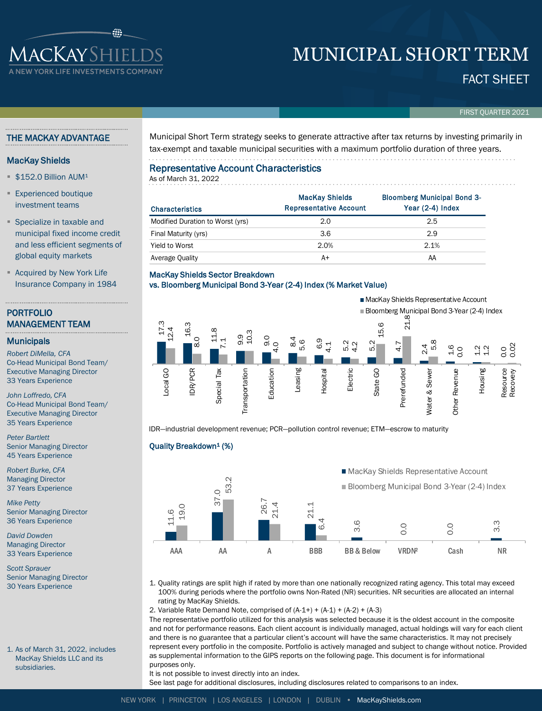# MUNICIPAL SHORT TERM

# FACT SHEET

FIRST QUARTER 2021

#### THE MACKAY ADVANTAGE

**ACKAYSHIEI** 

YORK LIFE INVESTMENTS COMPANY

#### MacKay Shields

- $$152.0$  Billion AUM<sup>1</sup>
- **Experienced boutique** investment teams
- **Specialize in taxable and** municipal fixed income credit and less efficient segments of global equity markets
- Acquired by New York Life Insurance Company in 1984

# PORTFOLIO MANAGEMENT TEAM

#### **Municipals**

*Robert DiMella, CFA* Co-Head Municipal Bond Team/ Executive Managing Director 33 Years Experience

*John Loffredo, CFA* Co-Head Municipal Bond Team/ Executive Managing Director 35 Years Experience

*Peter Bartlett* Senior Managing Director 45 Years Experience

*Robert Burke, CFA* Managing Director 37 Years Experience

*Mike Petty* Senior Managing Director 36 Years Experience

*David Dowden* Managing Director 33 Years Experience

*Scott Sprauer* Senior Managing Director 30 Years Experience

1. As of March 31, 2022, includes MacKay Shields LLC and its subsidiaries.

Municipal Short Term strategy seeks to generate attractive after tax returns by investing primarily in tax-exempt and taxable municipal securities with a maximum portfolio duration of three years.

#### Representative Account Characteristics

As of March 31, 2022

| <b>Characteristics</b>           | <b>MacKay Shields</b><br><b>Representative Account</b> | <b>Bloomberg Municipal Bond 3-</b><br>Year $(2-4)$ Index |  |  |  |
|----------------------------------|--------------------------------------------------------|----------------------------------------------------------|--|--|--|
| Modified Duration to Worst (yrs) | 2.0                                                    | 2.5                                                      |  |  |  |
| Final Maturity (yrs)             | 3.6                                                    | 2.9                                                      |  |  |  |
| Yield to Worst                   | 2.0%                                                   | 2.1%                                                     |  |  |  |
| Average Quality                  | A+                                                     | AA                                                       |  |  |  |

# MacKay Shields Sector Breakdown vs. Bloomberg Municipal Bond 3-Year (2-4) Index (% Market Value)



IDR—industrial development revenue; PCR—pollution control revenue; ETM—escrow to maturity

# Quality Breakdown<sup>1</sup> (%)



1. Quality ratings are split high if rated by more than one nationally recognized rating agency. This total may exceed 100% during periods where the portfolio owns Non-Rated (NR) securities. NR securities are allocated an internal rating by MacKay Shields.

2. Variable Rate Demand Note, comprised of  $(A-1+) + (A-1) + (A-2) + (A-3)$ 

The representative portfolio utilized for this analysis was selected because it is the oldest account in the composite and not for performance reasons. Each client account is individually managed, actual holdings will vary for each client and there is no guarantee that a particular client's account will have the same characteristics. It may not precisely represent every portfolio in the composite. Portfolio is actively managed and subject to change without notice. Provided as supplemental information to the GIPS reports on the following page. This document is for informational purposes only.

It is not possible to invest directly into an index.

See last page for additional disclosures, including disclosures related to comparisons to an index.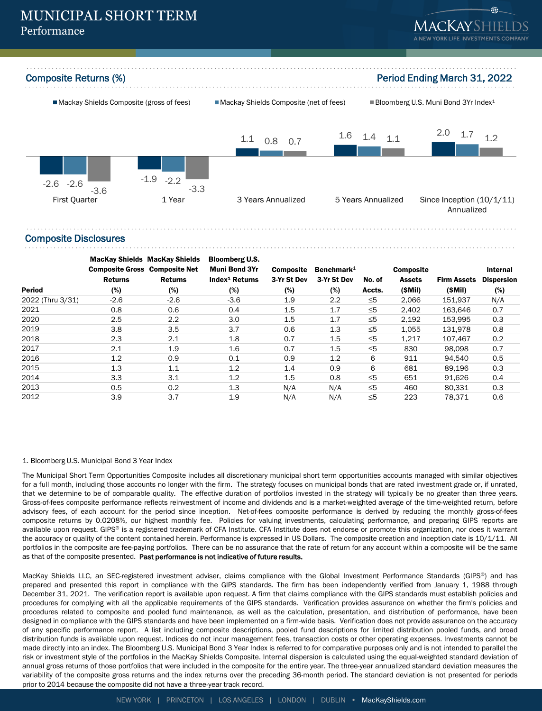



Composite Disclosures

|                  | <b>MacKay Shields MacKay Shields</b><br><b>Composite Gross Composite Net</b> |                | <b>Bloomberg U.S.</b><br>Muni Bond 3Yr | <b>Composite</b> | $\mathbf{B}$ enchmark $1$ |          | <b>Composite</b> |                    | Internal          |
|------------------|------------------------------------------------------------------------------|----------------|----------------------------------------|------------------|---------------------------|----------|------------------|--------------------|-------------------|
|                  | <b>Returns</b>                                                               | <b>Returns</b> | Index <sup>1</sup> Returns             | 3-Yr St Dev      | 3-Yr St Dev               | No. of   | <b>Assets</b>    | <b>Firm Assets</b> | <b>Dispersion</b> |
| <b>Period</b>    | (%)                                                                          | (%)            | (%)                                    | (%)              | (%)                       | Accts.   | (SMil)           | (SMil)             | (%)               |
| 2022 (Thru 3/31) | $-2.6$                                                                       | $-2.6$         | $-3.6$                                 | 1.9              | 2.2                       | $\leq 5$ | 2,066            | 151,937            | N/A               |
| 2021             | 0.8                                                                          | 0.6            | 0.4                                    | 1.5              | 1.7                       | $\leq 5$ | 2,402            | 163,646            | 0.7               |
| 2020             | 2.5                                                                          | 2.2            | 3.0                                    | 1.5              | 1.7                       | $\leq 5$ | 2.192            | 153.995            | 0.3               |
| 2019             | 3.8                                                                          | 3.5            | 3.7                                    | 0.6              | 1.3                       | $\leq 5$ | 1,055            | 131.978            | 0.8               |
| 2018             | 2.3                                                                          | 2.1            | 1.8                                    | 0.7              | 1.5                       | $\leq 5$ | 1.217            | 107.467            | 0.2               |
| 2017             | 2.1                                                                          | 1.9            | 1.6                                    | 0.7              | $1.5\,$                   | $\leq 5$ | 830              | 98.098             | 0.7               |
| 2016             | 1.2                                                                          | 0.9            | 0.1                                    | 0.9              | 1.2                       | 6        | 911              | 94.540             | 0.5               |
| 2015             | 1.3                                                                          | 1.1            | 1.2                                    | 1.4              | 0.9                       | 6        | 681              | 89.196             | 0.3               |
| 2014             | 3.3                                                                          | 3.1            | 1.2                                    | 1.5              | 0.8                       | $\leq 5$ | 651              | 91,626             | 0.4               |
| 2013             | 0.5                                                                          | 0.2            | 1.3                                    | N/A              | N/A                       | $\leq 5$ | 460              | 80.331             | 0.3               |
| 2012             | 3.9                                                                          | 3.7            | 1.9                                    | N/A              | N/A                       | $\leq 5$ | 223              | 78.371             | 0.6               |

#### 1. Bloomberg U.S. Municipal Bond 3 Year Index

The Municipal Short Term Opportunities Composite includes all discretionary municipal short term opportunities accounts managed with similar objectives for a full month, including those accounts no longer with the firm. The strategy focuses on municipal bonds that are rated investment grade or, if unrated, that we determine to be of comparable quality. The effective duration of portfolios invested in the strategy will typically be no greater than three years. Gross-of-fees composite performance reflects reinvestment of income and dividends and is a market-weighted average of the time-weighted return, before advisory fees, of each account for the period since inception. Net-of-fees composite performance is derived by reducing the monthly gross-of-fees composite returns by 0.0208%, our highest monthly fee. Policies for valuing investments, calculating performance, and preparing GIPS reports are available upon request. GIPS® is a registered trademark of CFA Institute. CFA Institute does not endorse or promote this organization, nor does it warrant the accuracy or quality of the content contained herein. Performance is expressed in US Dollars. The composite creation and inception date is 10/1/11. All portfolios in the composite are fee-paying portfolios. There can be no assurance that the rate of return for any account within a composite will be the same as that of the composite presented. Past performance is not indicative of future results.

MacKay Shields LLC, an SEC-registered investment adviser, claims compliance with the Global Investment Performance Standards (GIPS®) and has prepared and presented this report in compliance with the GIPS standards. The firm has been independently verified from January 1, 1988 through December 31, 2021. The verification report is available upon request. A firm that claims compliance with the GIPS standards must establish policies and procedures for complying with all the applicable requirements of the GIPS standards. Verification provides assurance on whether the firm's policies and procedures related to composite and pooled fund maintenance, as well as the calculation, presentation, and distribution of performance, have been designed in compliance with the GIPS standards and have been implemented on a firm-wide basis. Verification does not provide assurance on the accuracy of any specific performance report. A list including composite descriptions, pooled fund descriptions for limited distribution pooled funds, and broad distribution funds is available upon request. Indices do not incur management fees, transaction costs or other operating expenses. Investments cannot be made directly into an index. The Bloomberg U.S. Municipal Bond 3 Year Index is referred to for comparative purposes only and is not intended to parallel the risk or investment style of the portfolios in the MacKay Shields Composite. Internal dispersion is calculated using the equal-weighted standard deviation of annual gross returns of those portfolios that were included in the composite for the entire year. The three-year annualized standard deviation measures the variability of the composite gross returns and the index returns over the preceding 36-month period. The standard deviation is not presented for periods prior to 2014 because the composite did not have a three-year track record.